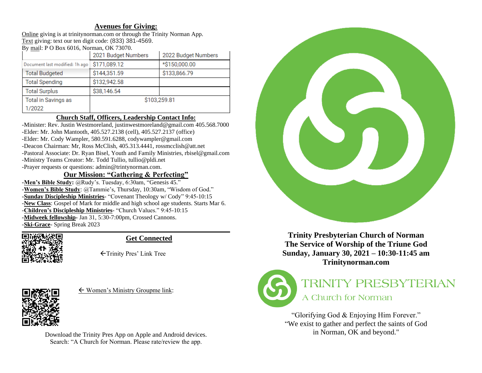### **Avenues for Giving:**

Online giving is at trinitynorman.com or through the Trinity Norman App. Text giving: text our ten digit code: (833) 381-4569.

By mail: P O Box 6016, Norman, OK 73070.

|                                | 2021 Budget Numbers | 2022 Budget Numbers |
|--------------------------------|---------------------|---------------------|
| Document last modified: 1h ago | \$171,089.12        | *\$150,000.00       |
| <b>Total Budgeted</b>          | \$144,351.59        | \$133,866.79        |
| <b>Total Spending</b>          | \$132,942.58        |                     |
| <b>Total Surplus</b>           | \$38,146.54         |                     |
| Total in Savings as            | \$103,259.81        |                     |
| 1/2022                         |                     |                     |

### **Church Staff, Officers, Leadership Contact Info:**

-Minister: Rev. Justin Westmoreland, justinwestmoreland@gmail.com 405.568.7000 -Elder: Mr. John Mantooth, 405.527.2138 (cell), 405.527.2137 (office) -Elder: Mr. Cody Wampler, 580.591.6288, codywampler@gmail.com -Deacon Chairman: Mr, Ross McClish, 405.313.4441, rossmcclish@att.net -Pastoral Associate: Dr. Ryan Bisel, Youth and Family Ministries, rbisel@gmail.com -Ministry Teams Creator: Mr. Todd Tullio, tullio@pldi.net -Prayer requests or questions: admin@trintynorman.com.

### **Our Mission: "Gathering & Perfecting"**

**-Men's Bible Study:** @Rudy's. Tuesday, 6:30am, "Genesis 45." -**Women's Bible Study**: @Tammie's, Thursday, 10:30am, "Wisdom of God." **-Sunday Discipleship Ministries**- "Covenant Theology w/ Cody" 9:45-10:15 -**New Class**: Gospel of Mark for middle and high school age students. Starts Mar 6. -**Children's Discipleship Ministries**- "Church Values." 9:45-10:15 **-Midweek fellowship-** Jan 31, 5:30-7:00pm, Crossed Cannons. -**Ski-Grace**- Spring Break 2023



## **Get Connected**

Trinity Pres' Link Tree



 $\leftarrow$  Women's Ministry Groupme link:

Download the Trinity Pres App on Apple and Android devices. Search: "A Church for Norman. Please rate/review the app.



**Trinity Presbyterian Church of Norman The Service of Worship of the Triune God Sunday, January 30, 2021 – 10:30-11:45 am Trinitynorman.com** 



# **TRINITY PRESBYTERIAN** A Church for Norman

"Glorifying God & Enjoying Him Forever." "We exist to gather and perfect the saints of God in Norman, OK and beyond."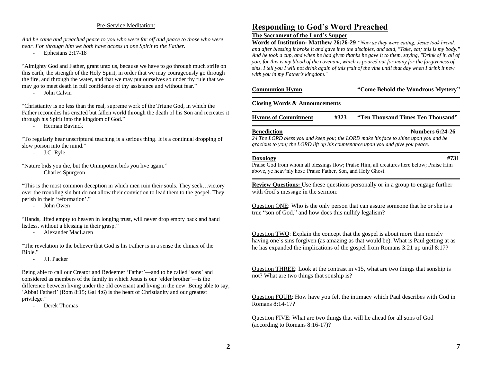### Pre-Service Meditation:

*And he came and preached peace to you who were far off and peace to those who were near. For through him we both have access in one Spirit to the Father.*

- Ephesians 2:17-18

"Almighty God and Father, grant unto us, because we have to go through much strife on this earth, the strength of the Holy Spirit, in order that we may courageously go through the fire, and through the water, and that we may put ourselves so under thy rule that we may go to meet death in full confidence of thy assistance and without fear."

- John Calvin

"Christianity is no less than the real, supreme work of the Triune God, in which the Father reconciles his created but fallen world through the death of his Son and recreates it through his Spirit into the kingdom of God."

- Herman Bavinck

"To regularly hear unscriptural teaching is a serious thing. It is a continual dropping of slow poison into the mind."

- J.C. Ryle

"Nature bids you die, but the Omnipotent bids you live again."

- Charles Spurgeon

"This is the most common deception in which men ruin their souls. They seek…victory over the troubling sin but do not allow their conviction to lead them to the gospel. They perish in their 'reformation'."

- John Owen

"Hands, lifted empty to heaven in longing trust, will never drop empty back and hand listless, without a blessing in their grasp."

- Alexander MacLaren

"The revelation to the believer that God is his Father is in a sense the climax of the Bible."

- J.I. Packer

Being able to call our Creator and Redeemer 'Father'—and to be called 'sons' and considered as members of the family in which Jesus is our 'elder brother'—is the difference between living under the old covenant and living in the new. Being able to say, 'Abba! Father!' (Rom 8:15; Gal 4:6) is the heart of Christianity and our greatest privilege."

- Derek Thomas

# **Responding to God's Word Preached**

### **The Sacrament of the Lord's Supper**

**Words of Institution- Matthew 26:26-29** *"Now as they were eating, Jesus took bread, and after blessing it broke it and gave it to the disciples, and said, "Take, eat; this is my body." And he took a cup, and when he had given thanks he gave it to them, saying, "Drink of it, all of you, for this is my blood of the covenant, which is poured out for many for the forgiveness of sins. I tell you I will not drink again of this fruit of the vine until that day when I drink it new with you in my Father's kingdom."* 

**Communion Hymn "Come Behold the Wondrous Mystery"** 

**Closing Words & Announcements**

**Hymns of Commitment #323 "Ten Thousand Times Ten Thousand"**

**Benediction Numbers 6:24-26**

*24 The LORD bless you and keep you; the LORD make his face to shine upon you and be gracious to you; the LORD lift up his countenance upon you and give you peace.*

### **Doxology #731**

Praise God from whom all blessings flow; Praise Him, all creatures here below; Praise Him above, ye heav'nly host: Praise Father, Son, and Holy Ghost.

**Review Questions:** Use these questions personally or in a group to engage further with God's message in the sermon:

Question ONE: Who is the only person that can assure someone that he or she is a true "son of God," and how does this nullify legalism?

Question TWO: Explain the concept that the gospel is about more than merely having one's sins forgiven (as amazing as that would be). What is Paul getting at as he has expanded the implications of the gospel from Romans 3:21 up until 8:17?

Question THREE: Look at the contrast in v15, what are two things that sonship is not? What are two things that sonship is?

Question FOUR: How have you felt the intimacy which Paul describes with God in Romans 8:14-17?

Question FIVE: What are two things that will lie ahead for all sons of God (according to Romans 8:16-17)?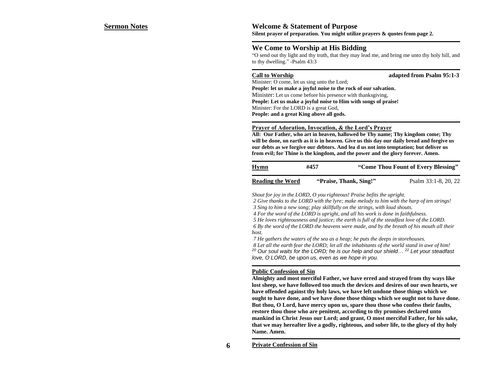### **Welcome & Statement of Purpose**

**Silent prayer of preparation. You might utilize prayers & quotes from page 2.**

### **We Come to Worship at His Bidding**

"O send out thy light and thy truth, that they may lead me, and bring me unto thy holy hill, and to thy dwelling." -Psalm 43:3

**Call to Worship adapted from Psalm 95:1-3**

Minister: O come, let us sing unto the Lord; **People: let us make a joyful noise to the rock of our salvation.** Minister: Let us come before his presence with thanksgiving, **People: Let us make a joyful noise to Him with songs of praise!**  Minister: For the LORD is a great God, **People: and a great King above all gods.** 

### **Prayer of Adoration, Invocation, & the Lord's Prayer**

**All: Our Father, who art in heaven, hallowed be Thy name; Thy kingdom come; Thy will be done, on earth as it is in heaven. Give us this day our daily bread and forgive us our debts as we forgive our debtors. And lea d us not into temptation; but deliver us from evil; for Thine is the kingdom, and the power and the glory forever. Amen.**

| Hymn                    | #457                   | "Come Thou Fount of Every Blessing" |
|-------------------------|------------------------|-------------------------------------|
| <b>Reading the Word</b> | "Praise, Thank, Sing!" | Psalm 33:1-8, 20, 22                |

*Shout for joy in the LORD, O you righteous! Praise befits the upright.*

*2 Give thanks to the LORD with the lyre; make melody to him with the harp of ten strings!*

*3 Sing to him a new song; play skillfully on the strings, with loud shouts.*

*4 For the word of the LORD is upright, and all his work is done in faithfulness.*

*5 He loves righteousness and justice; the earth is full of the steadfast love of the LORD. 6 By the word of the LORD the heavens were made, and by the breath of his mouth all their host.*

*7 He gathers the waters of the sea as a heap; he puts the deeps in storehouses.*

*8 Let all the earth fear the LORD; let all the inhabitants of the world stand in awe of him! <sup>20</sup> Our soul waits for the LORD; he is our help and our shield… <sup>22</sup> Let your steadfast love, O LORD, be upon us, even as we hope in you.*

### **Public Confession of Sin**

**Almighty and most merciful Father, we have erred and strayed from thy ways like lost sheep, we have followed too much the devices and desires of our own hearts, we have offended against thy holy laws, we have left undone those things which we ought to have done, and we have done those things which we ought not to have done. But thou, O Lord, have mercy upon us, spare thou those who confess their faults, restore thou those who are penitent, according to thy promises declared unto mankind in Christ Jesus our Lord; and grant, O most merciful Father, for his sake, that we may hereafter live a godly, righteous, and sober life, to the glory of thy holy Name. Amen.**